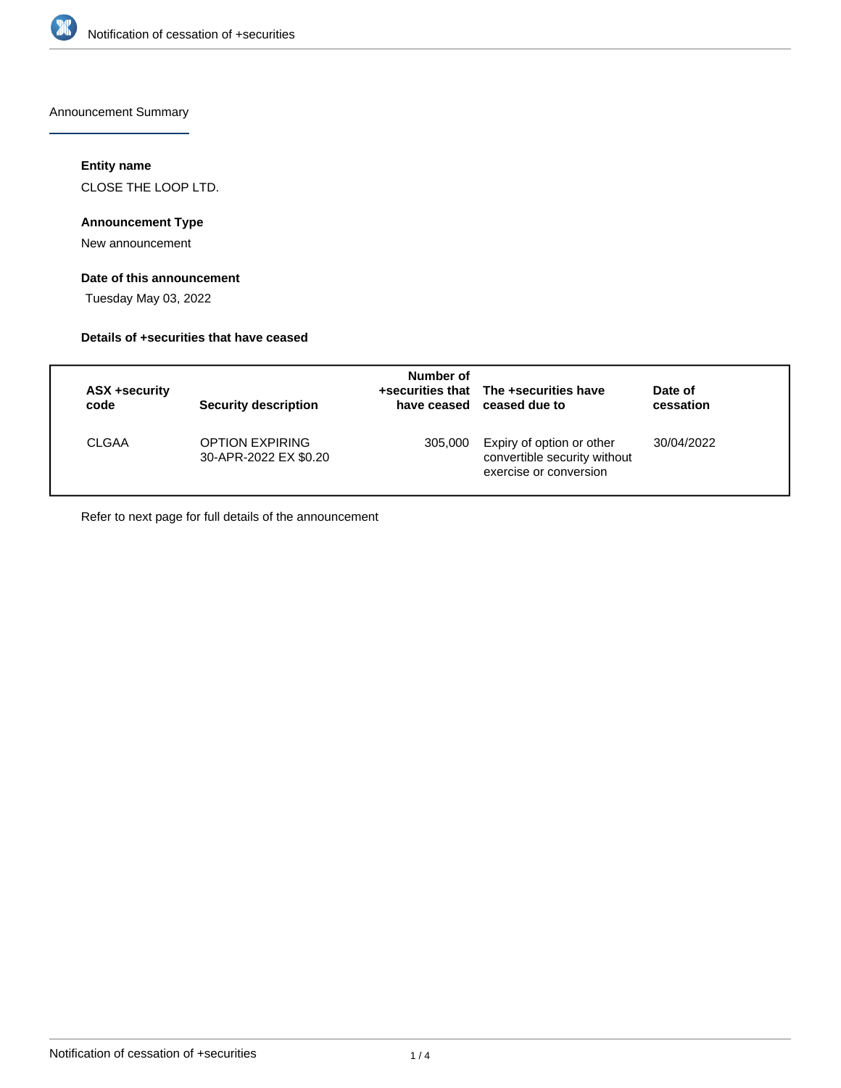

Announcement Summary

## **Entity name**

CLOSE THE LOOP LTD.

## **Announcement Type**

New announcement

## **Date of this announcement**

Tuesday May 03, 2022

## **Details of +securities that have ceased**

| <b>ASX +security</b><br>code | <b>Security description</b>                     | Number of | +securities that The +securities have<br>have ceased ceased due to                  | Date of<br>cessation |  |
|------------------------------|-------------------------------------------------|-----------|-------------------------------------------------------------------------------------|----------------------|--|
| <b>CLGAA</b>                 | <b>OPTION EXPIRING</b><br>30-APR-2022 EX \$0.20 | 305,000   | Expiry of option or other<br>convertible security without<br>exercise or conversion | 30/04/2022           |  |

Refer to next page for full details of the announcement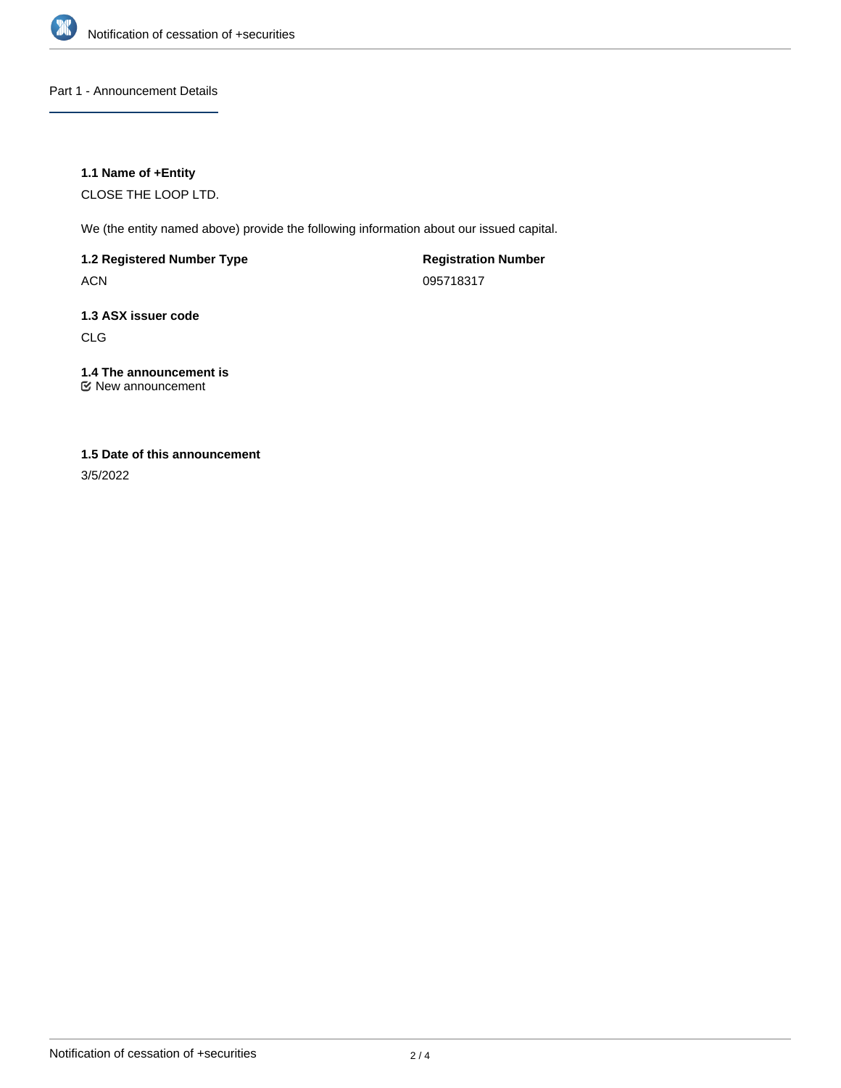

## Part 1 - Announcement Details

## **1.1 Name of +Entity**

CLOSE THE LOOP LTD.

We (the entity named above) provide the following information about our issued capital.

**1.2 Registered Number Type**

ACN

**Registration Number** 095718317

# **1.3 ASX issuer code**

CLG

# **1.4 The announcement is**

New announcement

## **1.5 Date of this announcement**

3/5/2022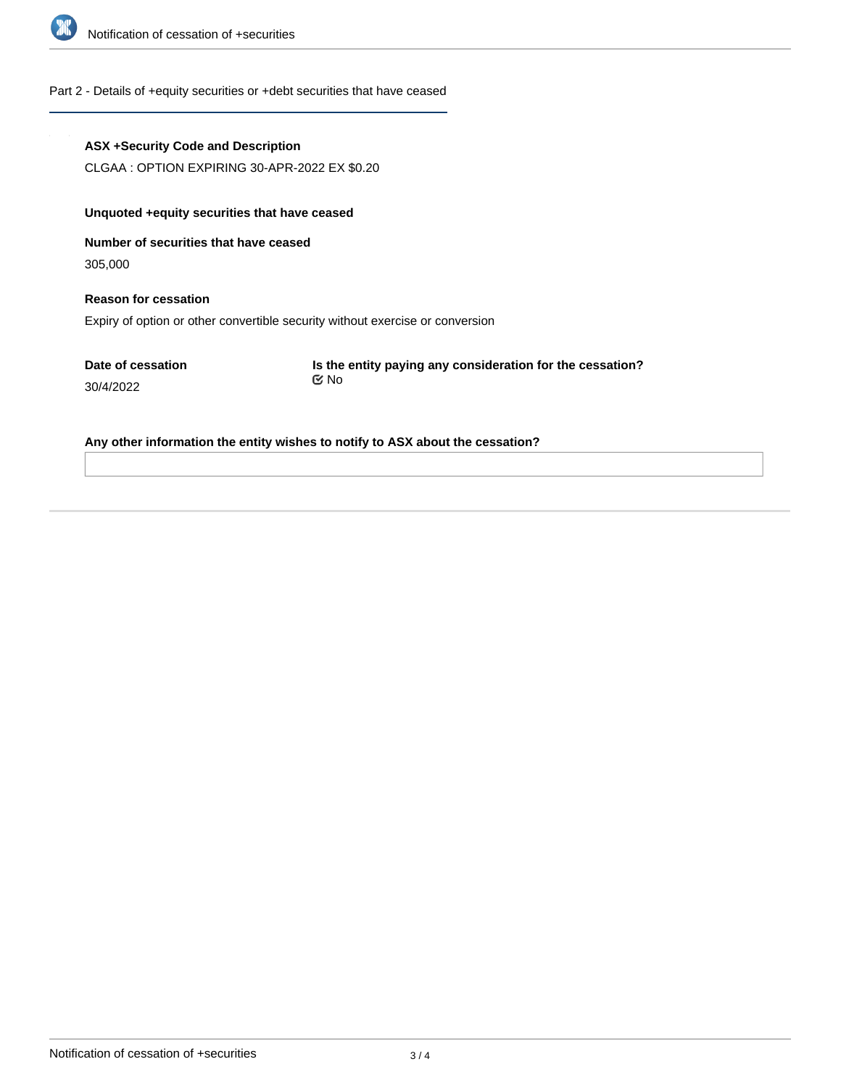

#### Part 2 - Details of +equity securities or +debt securities that have ceased

#### **ASX +Security Code and Description**

CLGAA : OPTION EXPIRING 30-APR-2022 EX \$0.20

## **Unquoted +equity securities that have ceased**

**Number of securities that have ceased**

305,000

## **Reason for cessation** Expiry of option or other convertible security without exercise or conversion

**Date of cessation** 30/4/2022

**Is the entity paying any consideration for the cessation?** No

#### **Any other information the entity wishes to notify to ASX about the cessation?**